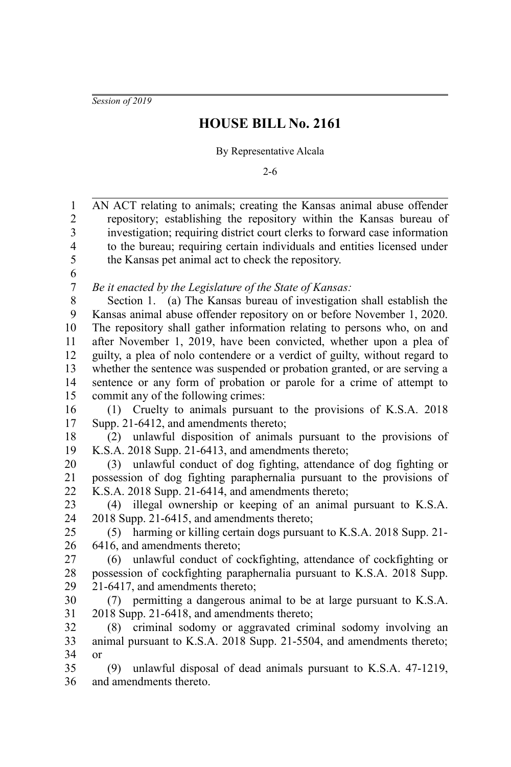*Session of 2019*

## **HOUSE BILL No. 2161**

By Representative Alcala

2-6

| $\mathbf{1}$     | AN ACT relating to animals; creating the Kansas animal abuse offender       |
|------------------|-----------------------------------------------------------------------------|
| $\boldsymbol{2}$ | repository; establishing the repository within the Kansas bureau of         |
| 3                | investigation; requiring district court clerks to forward case information  |
| $\overline{4}$   | to the bureau; requiring certain individuals and entities licensed under    |
| 5                | the Kansas pet animal act to check the repository.                          |
| 6                |                                                                             |
| $\boldsymbol{7}$ | Be it enacted by the Legislature of the State of Kansas:                    |
| 8                | Section 1. (a) The Kansas bureau of investigation shall establish the       |
| 9                | Kansas animal abuse offender repository on or before November 1, 2020.      |
| 10               | The repository shall gather information relating to persons who, on and     |
| 11               | after November 1, 2019, have been convicted, whether upon a plea of         |
| 12               | guilty, a plea of nolo contendere or a verdict of guilty, without regard to |
| 13               | whether the sentence was suspended or probation granted, or are serving a   |
| 14               | sentence or any form of probation or parole for a crime of attempt to       |
| 15               | commit any of the following crimes:                                         |
| 16               | Cruelty to animals pursuant to the provisions of K.S.A. 2018<br>(1)         |
| 17               | Supp. 21-6412, and amendments thereto;                                      |
| 18               | unlawful disposition of animals pursuant to the provisions of<br>(2)        |
| 19               | K.S.A. 2018 Supp. 21-6413, and amendments thereto;                          |
| 20               | (3) unlawful conduct of dog fighting, attendance of dog fighting or         |
| 21               | possession of dog fighting paraphernalia pursuant to the provisions of      |
| 22               | K.S.A. 2018 Supp. 21-6414, and amendments thereto;                          |
| 23               | (4) illegal ownership or keeping of an animal pursuant to K.S.A.            |
| 24               | 2018 Supp. 21-6415, and amendments thereto;                                 |
| 25               | harming or killing certain dogs pursuant to K.S.A. 2018 Supp. 21-<br>(5)    |
| 26               | 6416, and amendments thereto;                                               |
| 27               | unlawful conduct of cockfighting, attendance of cockfighting or<br>(6)      |
| 28               | possession of cockfighting paraphernalia pursuant to K.S.A. 2018 Supp.      |
| 29               | 21-6417, and amendments thereto;                                            |
| 30               | (7) permitting a dangerous animal to be at large pursuant to K.S.A.         |
| 31               | 2018 Supp. 21-6418, and amendments thereto;                                 |
| 32               | criminal sodomy or aggravated criminal sodomy involving an<br>(8)           |
| 33               | animal pursuant to K.S.A. 2018 Supp. 21-5504, and amendments thereto;       |
| 34               | <sub>or</sub>                                                               |
| 35               | (9) unlawful disposal of dead animals pursuant to K.S.A. 47-1219,           |
| 36               | and amendments thereto.                                                     |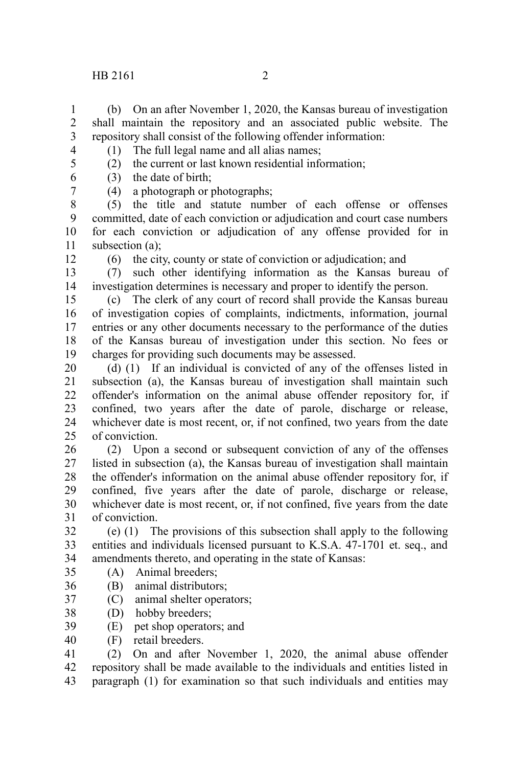## $HB\ 2161$  2

(b) On an after November 1, 2020, the Kansas bureau of investigation shall maintain the repository and an associated public website. The repository shall consist of the following offender information: 1 2 3 4

(1) The full legal name and all alias names;

5 6

7

(2) the current or last known residential information; (3) the date of birth;

(4) a photograph or photographs;

(5) the title and statute number of each offense or offenses committed, date of each conviction or adjudication and court case numbers for each conviction or adjudication of any offense provided for in subsection (a); 8 9 10 11

12

(6) the city, county or state of conviction or adjudication; and

(7) such other identifying information as the Kansas bureau of investigation determines is necessary and proper to identify the person. 13 14

(c) The clerk of any court of record shall provide the Kansas bureau of investigation copies of complaints, indictments, information, journal entries or any other documents necessary to the performance of the duties of the Kansas bureau of investigation under this section. No fees or charges for providing such documents may be assessed. 15 16 17 18 19

(d) (1) If an individual is convicted of any of the offenses listed in subsection (a), the Kansas bureau of investigation shall maintain such offender's information on the animal abuse offender repository for, if confined, two years after the date of parole, discharge or release, whichever date is most recent, or, if not confined, two years from the date of conviction. 20 21  $22$ 23 24  $25$ 

(2) Upon a second or subsequent conviction of any of the offenses listed in subsection (a), the Kansas bureau of investigation shall maintain the offender's information on the animal abuse offender repository for, if confined, five years after the date of parole, discharge or release, whichever date is most recent, or, if not confined, five years from the date of conviction. 26 27 28 29 30 31

(e) (1) The provisions of this subsection shall apply to the following entities and individuals licensed pursuant to K.S.A. 47-1701 et. seq., and amendments thereto, and operating in the state of Kansas: 32 33 34

- (A) Animal breeders; 35
- (B) animal distributors; 36
- (C) animal shelter operators; 37
- (D) hobby breeders; 38
- (E) pet shop operators; and 39
- (F) retail breeders. 40

(2) On and after November 1, 2020, the animal abuse offender repository shall be made available to the individuals and entities listed in paragraph (1) for examination so that such individuals and entities may 41 42 43